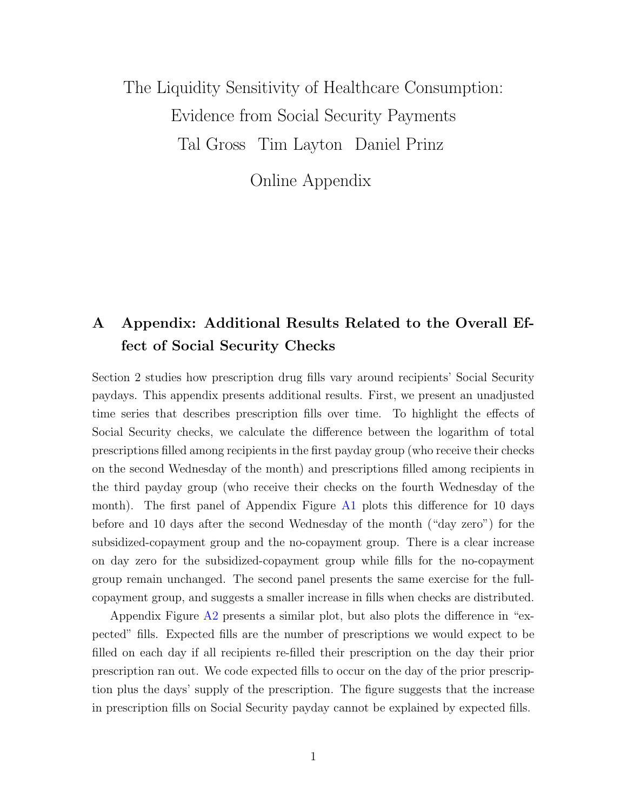# <span id="page-0-0"></span>The Liquidity Sensitivity of Healthcare Consumption: Evidence from Social Security Payments Tal Gross Tim Layton Daniel Prinz

Online Appendix

# A Appendix: Additional Results Related to the Overall Effect of Social Security Checks

Section 2 studies how prescription drug fills vary around recipients' Social Security paydays. This appendix presents additional results. First, we present an unadjusted time series that describes prescription fills over time. To highlight the effects of Social Security checks, we calculate the difference between the logarithm of total prescriptions filled among recipients in the first payday group (who receive their checks on the second Wednesday of the month) and prescriptions filled among recipients in the third payday group (who receive their checks on the fourth Wednesday of the month). The first panel of Appendix Figure [A1](#page-4-0) plots this difference for 10 days before and 10 days after the second Wednesday of the month ("day zero") for the subsidized-copayment group and the no-copayment group. There is a clear increase on day zero for the subsidized-copayment group while fills for the no-copayment group remain unchanged. The second panel presents the same exercise for the fullcopayment group, and suggests a smaller increase in fills when checks are distributed.

Appendix Figure  $A2$  presents a similar plot, but also plots the difference in "expected" fills. Expected fills are the number of prescriptions we would expect to be filled on each day if all recipients re-filled their prescription on the day their prior prescription ran out. We code expected fills to occur on the day of the prior prescription plus the days' supply of the prescription. The figure suggests that the increase in prescription fills on Social Security payday cannot be explained by expected fills.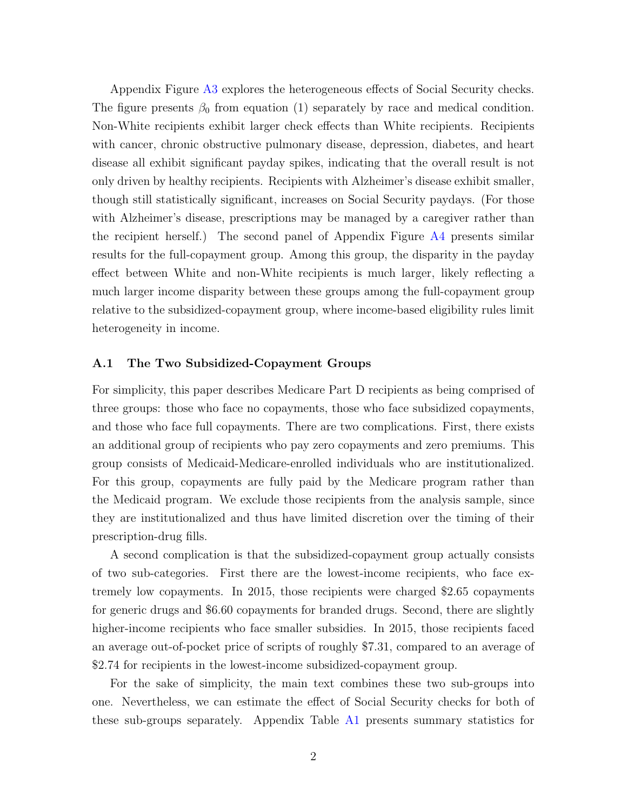Appendix Figure [A3](#page-6-0) explores the heterogeneous effects of Social Security checks. The figure presents  $\beta_0$  from equation (1) separately by race and medical condition. Non-White recipients exhibit larger check effects than White recipients. Recipients with cancer, chronic obstructive pulmonary disease, depression, diabetes, and heart disease all exhibit significant payday spikes, indicating that the overall result is not only driven by healthy recipients. Recipients with Alzheimer's disease exhibit smaller, though still statistically significant, increases on Social Security paydays. (For those with Alzheimer's disease, prescriptions may be managed by a caregiver rather than the recipient herself.) The second panel of Appendix Figure [A4](#page-7-0) presents similar results for the full-copayment group. Among this group, the disparity in the payday effect between White and non-White recipients is much larger, likely reflecting a much larger income disparity between these groups among the full-copayment group relative to the subsidized-copayment group, where income-based eligibility rules limit heterogeneity in income.

## A.1 The Two Subsidized-Copayment Groups

For simplicity, this paper describes Medicare Part D recipients as being comprised of three groups: those who face no copayments, those who face subsidized copayments, and those who face full copayments. There are two complications. First, there exists an additional group of recipients who pay zero copayments and zero premiums. This group consists of Medicaid-Medicare-enrolled individuals who are institutionalized. For this group, copayments are fully paid by the Medicare program rather than the Medicaid program. We exclude those recipients from the analysis sample, since they are institutionalized and thus have limited discretion over the timing of their prescription-drug fills.

A second complication is that the subsidized-copayment group actually consists of two sub-categories. First there are the lowest-income recipients, who face extremely low copayments. In 2015, those recipients were charged \$2.65 copayments for generic drugs and \$6.60 copayments for branded drugs. Second, there are slightly higher-income recipients who face smaller subsidies. In 2015, those recipients faced an average out-of-pocket price of scripts of roughly \$7.31, compared to an average of \$2.74 for recipients in the lowest-income subsidized-copayment group.

For the sake of simplicity, the main text combines these two sub-groups into one. Nevertheless, we can estimate the effect of Social Security checks for both of these sub-groups separately. Appendix Table [A1](#page-3-0) presents summary statistics for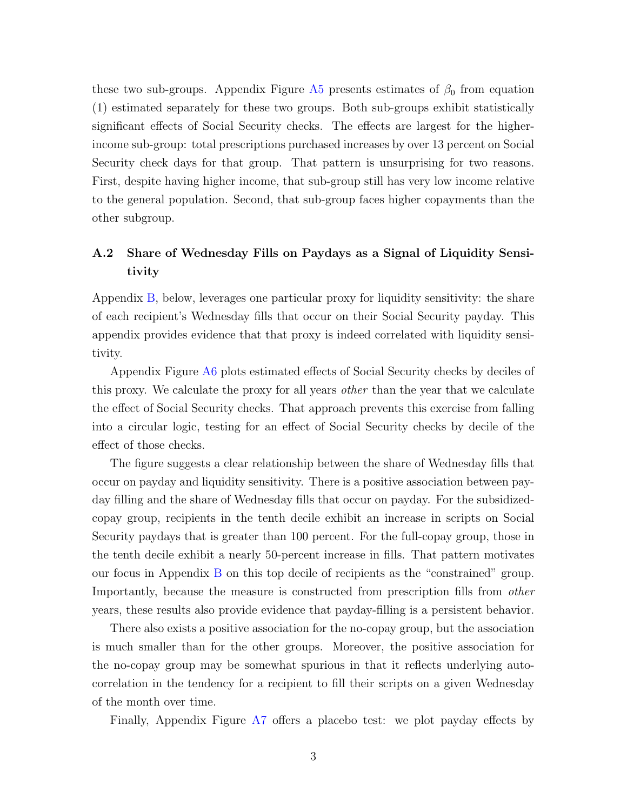these two sub-groups. Appendix Figure [A5](#page-8-0) presents estimates of  $\beta_0$  from equation (1) estimated separately for these two groups. Both sub-groups exhibit statistically significant effects of Social Security checks. The effects are largest for the higherincome sub-group: total prescriptions purchased increases by over 13 percent on Social Security check days for that group. That pattern is unsurprising for two reasons. First, despite having higher income, that sub-group still has very low income relative to the general population. Second, that sub-group faces higher copayments than the other subgroup.

# <span id="page-2-0"></span>A.2 Share of Wednesday Fills on Paydays as a Signal of Liquidity Sensitivity

Appendix [B,](#page-12-0) below, leverages one particular proxy for liquidity sensitivity: the share of each recipient's Wednesday fills that occur on their Social Security payday. This appendix provides evidence that that proxy is indeed correlated with liquidity sensitivity.

Appendix Figure [A6](#page-9-0) plots estimated effects of Social Security checks by deciles of this proxy. We calculate the proxy for all years *other* than the year that we calculate the effect of Social Security checks. That approach prevents this exercise from falling into a circular logic, testing for an effect of Social Security checks by decile of the effect of those checks.

The figure suggests a clear relationship between the share of Wednesday fills that occur on payday and liquidity sensitivity. There is a positive association between payday filling and the share of Wednesday fills that occur on payday. For the subsidizedcopay group, recipients in the tenth decile exhibit an increase in scripts on Social Security paydays that is greater than 100 percent. For the full-copay group, those in the tenth decile exhibit a nearly 50-percent increase in fills. That pattern motivates our focus in Appendix [B](#page-12-0) on this top decile of recipients as the "constrained" group. Importantly, because the measure is constructed from prescription fills from other years, these results also provide evidence that payday-filling is a persistent behavior.

There also exists a positive association for the no-copay group, but the association is much smaller than for the other groups. Moreover, the positive association for the no-copay group may be somewhat spurious in that it reflects underlying autocorrelation in the tendency for a recipient to fill their scripts on a given Wednesday of the month over time.

Finally, Appendix Figure [A7](#page-10-0) offers a placebo test: we plot payday effects by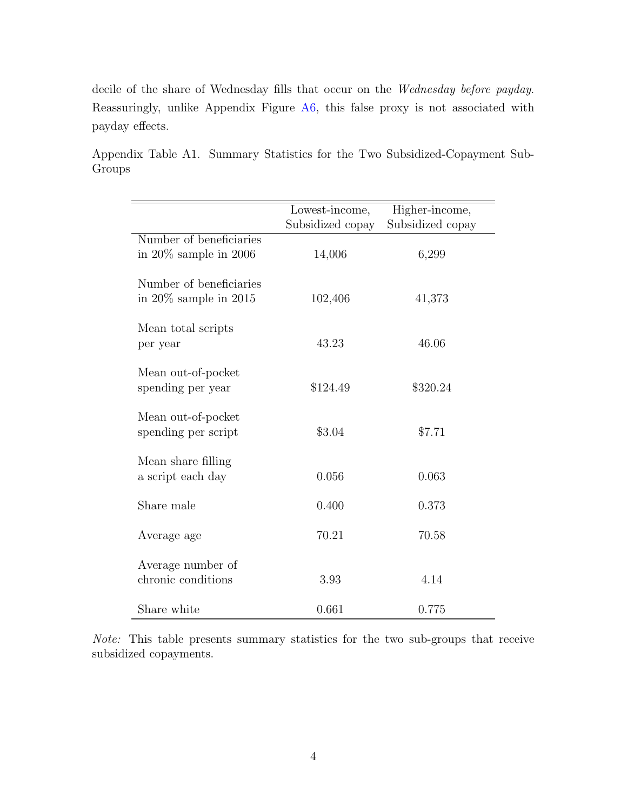decile of the share of Wednesday fills that occur on the Wednesday before payday. Reassuringly, unlike Appendix Figure [A6,](#page-9-0) this false proxy is not associated with payday effects.

<span id="page-3-0"></span>Appendix Table A1. Summary Statistics for the Two Subsidized-Copayment Sub-Groups

|                                                       | Lowest-income,   | Higher-income,   |
|-------------------------------------------------------|------------------|------------------|
|                                                       | Subsidized copay | Subsidized copay |
| Number of beneficiaries<br>in $20\%$ sample in 2006   | 14,006           | 6,299            |
| Number of beneficiaries<br>in $20\%$ sample in $2015$ | 102,406          | 41,373           |
| Mean total scripts<br>per year                        | 43.23            | 46.06            |
| Mean out-of-pocket<br>spending per year               | \$124.49         | \$320.24         |
| Mean out-of-pocket<br>spending per script             | \$3.04           | \$7.71           |
| Mean share filling<br>a script each day               | 0.056            | 0.063            |
| Share male                                            | 0.400            | 0.373            |
| Average age                                           | 70.21            | 70.58            |
| Average number of<br>chronic conditions               | 3.93             | 4.14             |
| Share white                                           | 0.661            | 0.775            |

Note: This table presents summary statistics for the two sub-groups that receive subsidized copayments.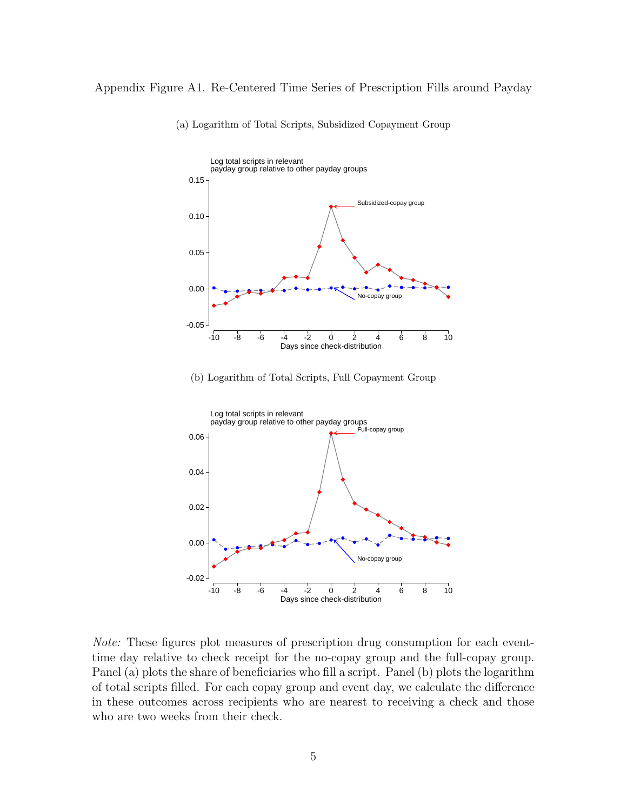# <span id="page-4-0"></span>Appendix Figure A1. Re-Centered Time Series of Prescription Fills around Payday



(a) Logarithm of Total Scripts, Subsidized Copayment Group





Note: These figures plot measures of prescription drug consumption for each eventtime day relative to check receipt for the no-copay group and the full-copay group. Panel (a) plots the share of beneficiaries who fill a script. Panel (b) plots the logarithm of total scripts filled. For each copay group and event day, we calculate the difference in these outcomes across recipients who are nearest to receiving a check and those who are two weeks from their check.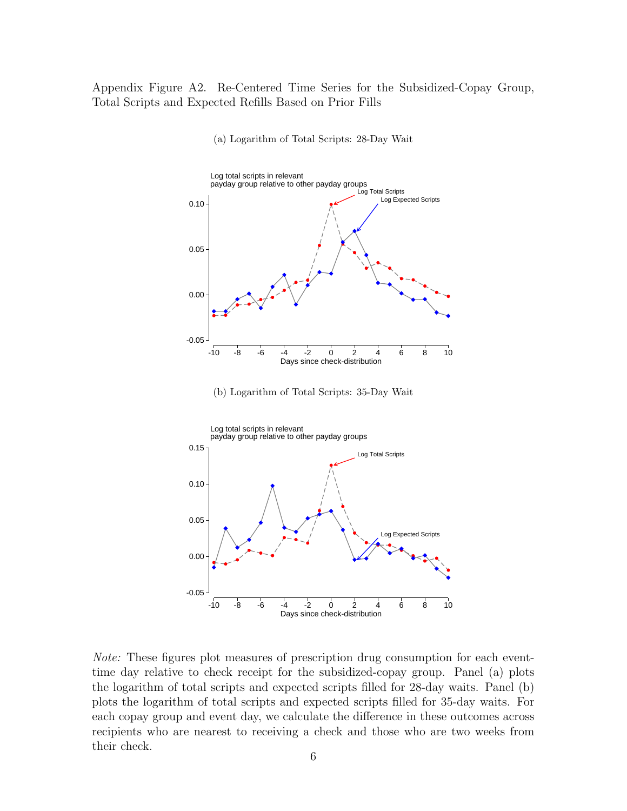<span id="page-5-0"></span>Appendix Figure A2. Re-Centered Time Series for the Subsidized-Copay Group, Total Scripts and Expected Refills Based on Prior Fills



(a) Logarithm of Total Scripts: 28-Day Wait

(b) Logarithm of Total Scripts: 35-Day Wait



Note: These figures plot measures of prescription drug consumption for each eventtime day relative to check receipt for the subsidized-copay group. Panel (a) plots the logarithm of total scripts and expected scripts filled for 28-day waits. Panel (b) plots the logarithm of total scripts and expected scripts filled for 35-day waits. For each copay group and event day, we calculate the difference in these outcomes across recipients who are nearest to receiving a check and those who are two weeks from their check.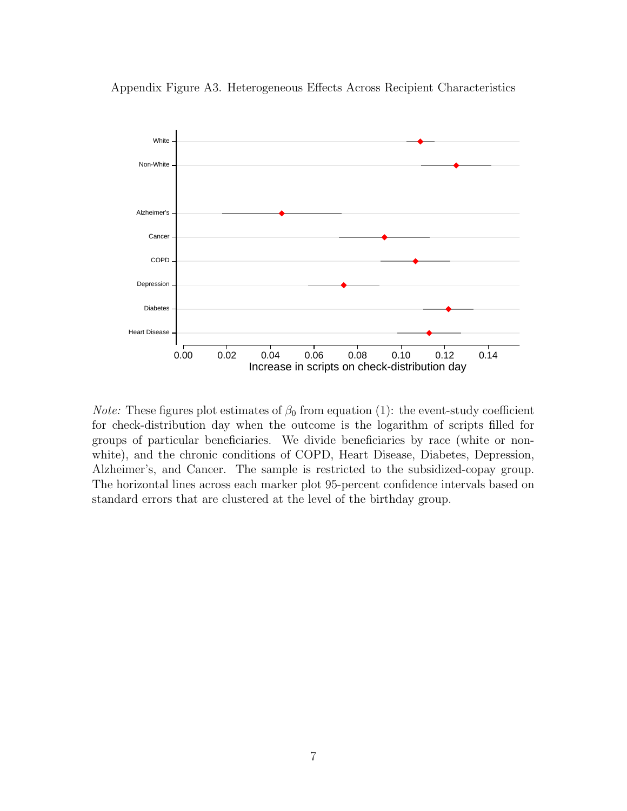

<span id="page-6-0"></span>Appendix Figure A3. Heterogeneous Effects Across Recipient Characteristics

*Note:* These figures plot estimates of  $\beta_0$  from equation (1): the event-study coefficient for check-distribution day when the outcome is the logarithm of scripts filled for groups of particular beneficiaries. We divide beneficiaries by race (white or nonwhite), and the chronic conditions of COPD, Heart Disease, Diabetes, Depression, Alzheimer's, and Cancer. The sample is restricted to the subsidized-copay group. The horizontal lines across each marker plot 95-percent confidence intervals based on standard errors that are clustered at the level of the birthday group.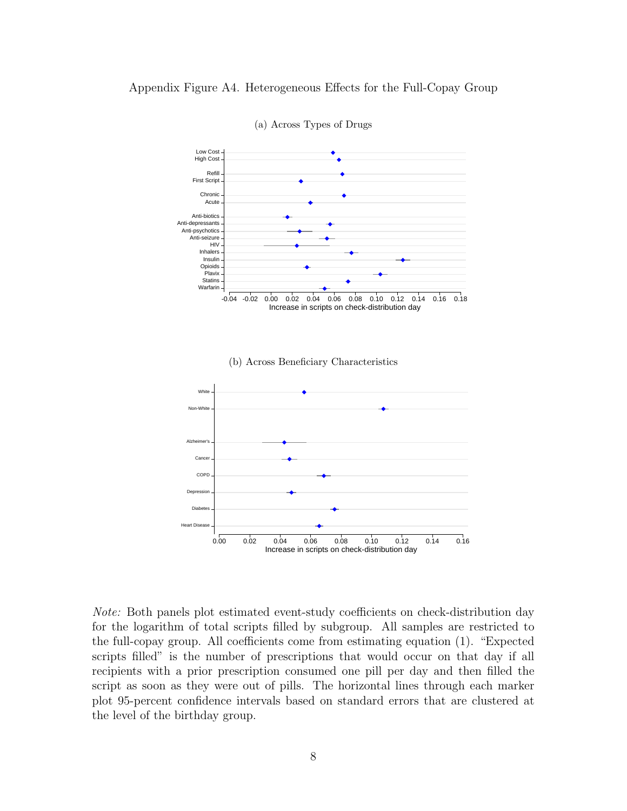<span id="page-7-0"></span>

(a) Across Types of Drugs

Note: Both panels plot estimated event-study coefficients on check-distribution day for the logarithm of total scripts filled by subgroup. All samples are restricted to the full-copay group. All coefficients come from estimating equation (1). "Expected scripts filled" is the number of prescriptions that would occur on that day if all recipients with a prior prescription consumed one pill per day and then filled the script as soon as they were out of pills. The horizontal lines through each marker plot 95-percent confidence intervals based on standard errors that are clustered at the level of the birthday group.

Increase in scripts on check-distribution day

0.00 0.02 0.04 0.06 0.08 0.10 0.12 0.14 0.16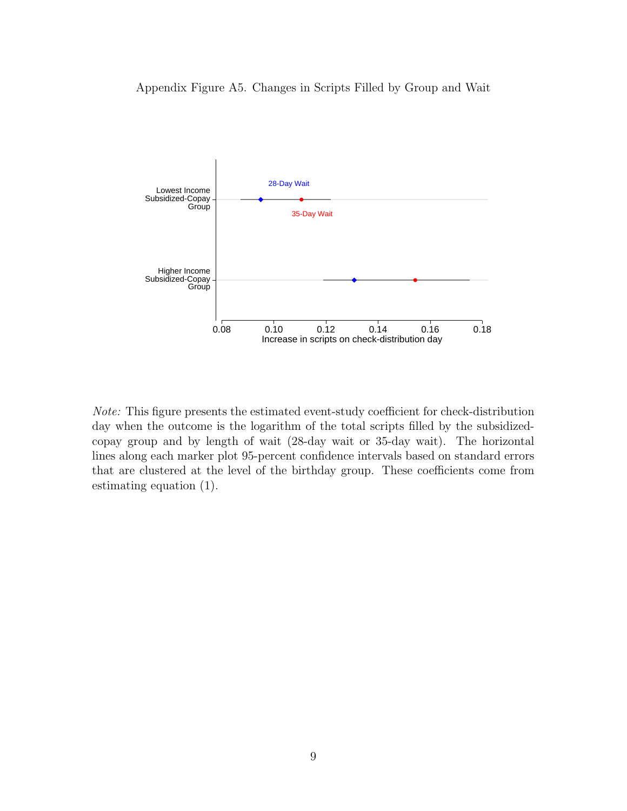<span id="page-8-0"></span>



Note: This figure presents the estimated event-study coefficient for check-distribution day when the outcome is the logarithm of the total scripts filled by the subsidizedcopay group and by length of wait (28-day wait or 35-day wait). The horizontal lines along each marker plot 95-percent confidence intervals based on standard errors that are clustered at the level of the birthday group. These coefficients come from estimating equation (1).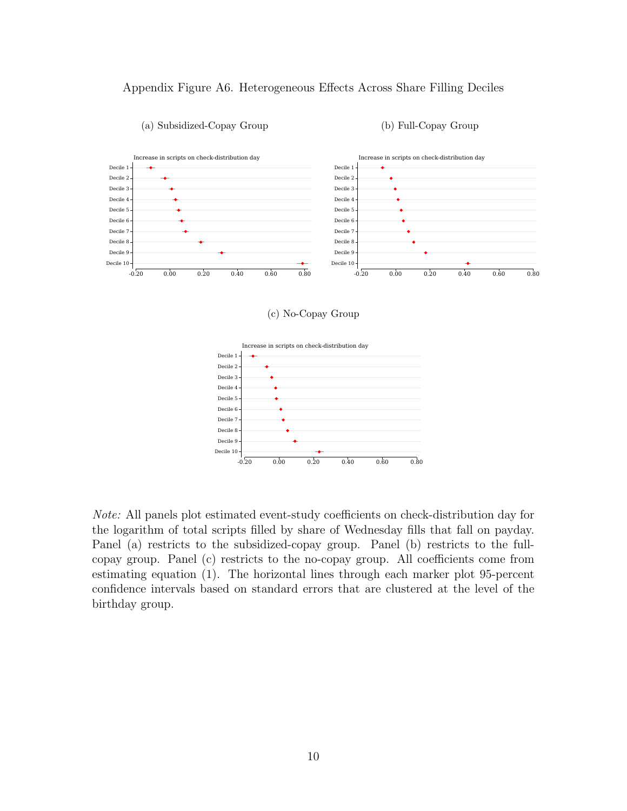<span id="page-9-0"></span>



## (a) Subsidized-Copay Group

#### (b) Full-Copay Group

### (c) No-Copay Group



Note: All panels plot estimated event-study coefficients on check-distribution day for the logarithm of total scripts filled by share of Wednesday fills that fall on payday. Panel (a) restricts to the subsidized-copay group. Panel (b) restricts to the fullcopay group. Panel (c) restricts to the no-copay group. All coefficients come from estimating equation (1). The horizontal lines through each marker plot 95-percent confidence intervals based on standard errors that are clustered at the level of the birthday group.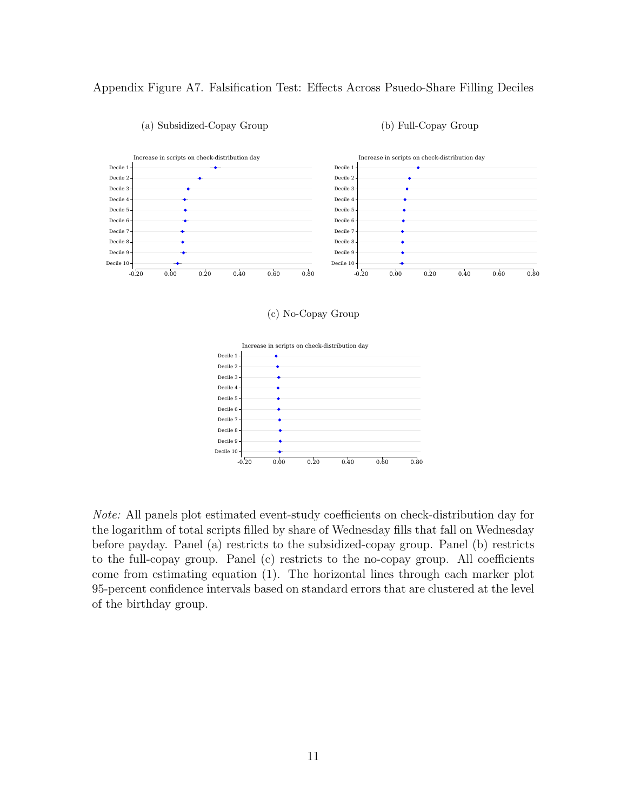# <span id="page-10-0"></span>Appendix Figure A7. Falsification Test: Effects Across Psuedo-Share Filling Deciles



### (a) Subsidized-Copay Group

#### (b) Full-Copay Group

#### (c) No-Copay Group



Note: All panels plot estimated event-study coefficients on check-distribution day for the logarithm of total scripts filled by share of Wednesday fills that fall on Wednesday before payday. Panel (a) restricts to the subsidized-copay group. Panel (b) restricts to the full-copay group. Panel (c) restricts to the no-copay group. All coefficients come from estimating equation (1). The horizontal lines through each marker plot 95-percent confidence intervals based on standard errors that are clustered at the level of the birthday group.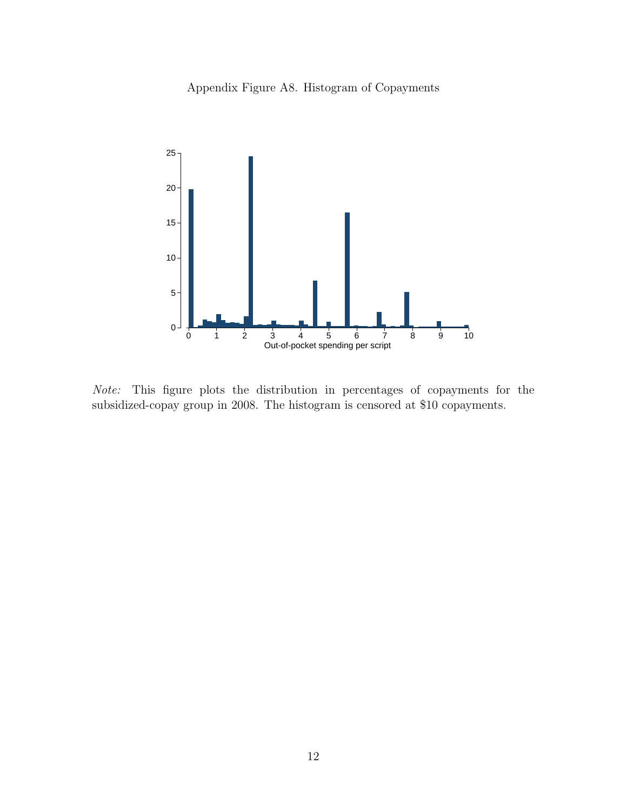Appendix Figure A8. Histogram of Copayments



Note: This figure plots the distribution in percentages of copayments for the subsidized-copay group in 2008. The histogram is censored at \$10 copayments.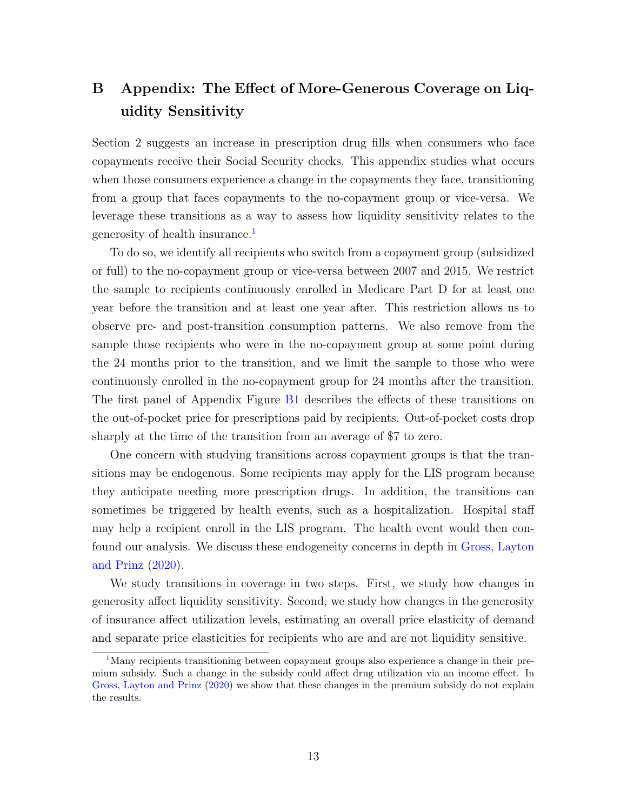# <span id="page-12-0"></span>B Appendix: The Effect of More-Generous Coverage on Liquidity Sensitivity

Section 2 suggests an increase in prescription drug fills when consumers who face copayments receive their Social Security checks. This appendix studies what occurs when those consumers experience a change in the copayments they face, transitioning from a group that faces copayments to the no-copayment group or vice-versa. We leverage these transitions as a way to assess how liquidity sensitivity relates to the generosity of health insurance.<sup>[1](#page-0-0)</sup>

To do so, we identify all recipients who switch from a copayment group (subsidized or full) to the no-copayment group or vice-versa between 2007 and 2015. We restrict the sample to recipients continuously enrolled in Medicare Part D for at least one year before the transition and at least one year after. This restriction allows us to observe pre- and post-transition consumption patterns. We also remove from the sample those recipients who were in the no-copayment group at some point during the 24 months prior to the transition, and we limit the sample to those who were continuously enrolled in the no-copayment group for 24 months after the transition. The first panel of Appendix Figure [B1](#page-16-0) describes the effects of these transitions on the out-of-pocket price for prescriptions paid by recipients. Out-of-pocket costs drop sharply at the time of the transition from an average of \$7 to zero.

One concern with studying transitions across copayment groups is that the transitions may be endogenous. Some recipients may apply for the LIS program because they anticipate needing more prescription drugs. In addition, the transitions can sometimes be triggered by health events, such as a hospitalization. Hospital staff may help a recipient enroll in the LIS program. The health event would then confound our analysis. We discuss these endogeneity concerns in depth in [Gross, Layton](#page-20-0) [and Prinz](#page-20-0) [\(2020\)](#page-20-0).

We study transitions in coverage in two steps. First, we study how changes in generosity affect liquidity sensitivity. Second, we study how changes in the generosity of insurance affect utilization levels, estimating an overall price elasticity of demand and separate price elasticities for recipients who are and are not liquidity sensitive.

<sup>&</sup>lt;sup>1</sup>Many recipients transitioning between copayment groups also experience a change in their premium subsidy. Such a change in the subsidy could affect drug utilization via an income effect. In [Gross, Layton and Prinz](#page-20-0) [\(2020\)](#page-20-0) we show that these changes in the premium subsidy do not explain the results.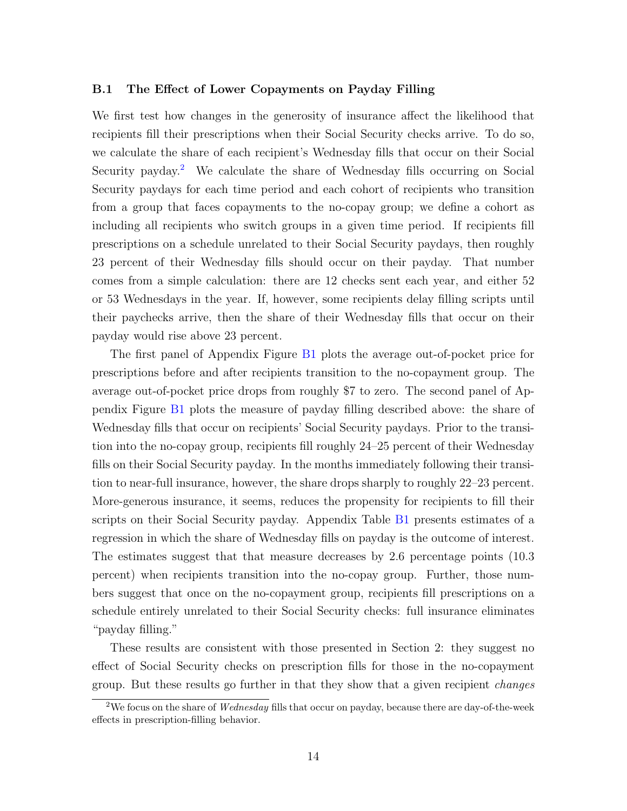## B.1 The Effect of Lower Copayments on Payday Filling

We first test how changes in the generosity of insurance affect the likelihood that recipients fill their prescriptions when their Social Security checks arrive. To do so, we calculate the share of each recipient's Wednesday fills that occur on their Social Security payday.<sup>[2](#page-0-0)</sup> We calculate the share of Wednesday fills occurring on Social Security paydays for each time period and each cohort of recipients who transition from a group that faces copayments to the no-copay group; we define a cohort as including all recipients who switch groups in a given time period. If recipients fill prescriptions on a schedule unrelated to their Social Security paydays, then roughly 23 percent of their Wednesday fills should occur on their payday. That number comes from a simple calculation: there are 12 checks sent each year, and either 52 or 53 Wednesdays in the year. If, however, some recipients delay filling scripts until their paychecks arrive, then the share of their Wednesday fills that occur on their payday would rise above 23 percent.

The first panel of Appendix Figure [B1](#page-16-0) plots the average out-of-pocket price for prescriptions before and after recipients transition to the no-copayment group. The average out-of-pocket price drops from roughly \$7 to zero. The second panel of Appendix Figure [B1](#page-16-0) plots the measure of payday filling described above: the share of Wednesday fills that occur on recipients' Social Security paydays. Prior to the transition into the no-copay group, recipients fill roughly 24–25 percent of their Wednesday fills on their Social Security payday. In the months immediately following their transition to near-full insurance, however, the share drops sharply to roughly 22–23 percent. More-generous insurance, it seems, reduces the propensity for recipients to fill their scripts on their Social Security payday. Appendix Table [B1](#page-18-0) presents estimates of a regression in which the share of Wednesday fills on payday is the outcome of interest. The estimates suggest that that measure decreases by 2.6 percentage points (10.3 percent) when recipients transition into the no-copay group. Further, those numbers suggest that once on the no-copayment group, recipients fill prescriptions on a schedule entirely unrelated to their Social Security checks: full insurance eliminates "payday filling."

These results are consistent with those presented in Section 2: they suggest no effect of Social Security checks on prescription fills for those in the no-copayment group. But these results go further in that they show that a given recipient changes

<sup>&</sup>lt;sup>2</sup>We focus on the share of *Wednesday* fills that occur on payday, because there are day-of-the-week effects in prescription-filling behavior.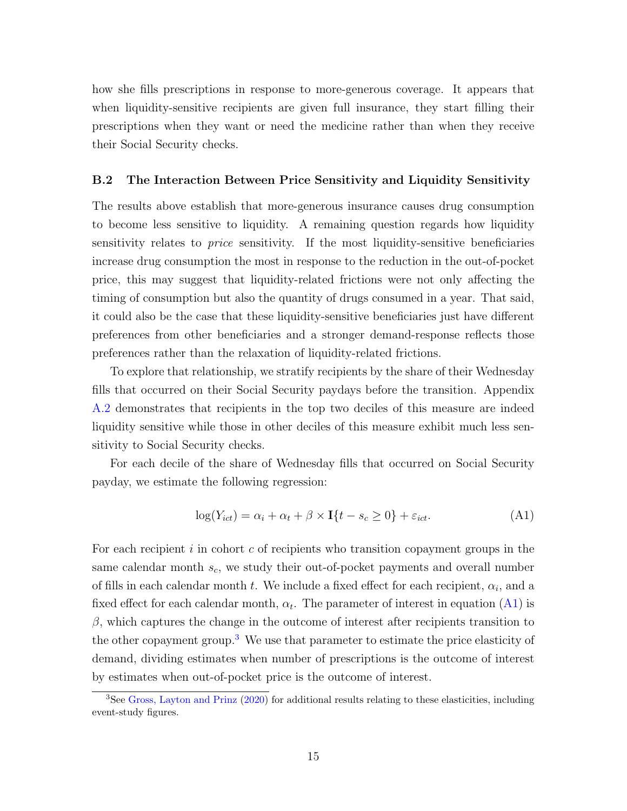how she fills prescriptions in response to more-generous coverage. It appears that when liquidity-sensitive recipients are given full insurance, they start filling their prescriptions when they want or need the medicine rather than when they receive their Social Security checks.

# B.2 The Interaction Between Price Sensitivity and Liquidity Sensitivity

The results above establish that more-generous insurance causes drug consumption to become less sensitive to liquidity. A remaining question regards how liquidity sensitivity relates to *price* sensitivity. If the most liquidity-sensitive beneficiaries increase drug consumption the most in response to the reduction in the out-of-pocket price, this may suggest that liquidity-related frictions were not only affecting the timing of consumption but also the quantity of drugs consumed in a year. That said, it could also be the case that these liquidity-sensitive beneficiaries just have different preferences from other beneficiaries and a stronger demand-response reflects those preferences rather than the relaxation of liquidity-related frictions.

To explore that relationship, we stratify recipients by the share of their Wednesday fills that occurred on their Social Security paydays before the transition. Appendix [A.2](#page-2-0) demonstrates that recipients in the top two deciles of this measure are indeed liquidity sensitive while those in other deciles of this measure exhibit much less sensitivity to Social Security checks.

For each decile of the share of Wednesday fills that occurred on Social Security payday, we estimate the following regression:

<span id="page-14-0"></span>
$$
\log(Y_{ict}) = \alpha_i + \alpha_t + \beta \times \mathbf{I}\{t - s_c \ge 0\} + \varepsilon_{ict}.\tag{A1}
$$

For each recipient  $i$  in cohort c of recipients who transition copayment groups in the same calendar month  $s_c$ , we study their out-of-pocket payments and overall number of fills in each calendar month t. We include a fixed effect for each recipient,  $\alpha_i$ , and a fixed effect for each calendar month,  $\alpha_t$ . The parameter of interest in equation  $(A1)$  is  $\beta$ , which captures the change in the outcome of interest after recipients transition to the other copayment group.[3](#page-0-0) We use that parameter to estimate the price elasticity of demand, dividing estimates when number of prescriptions is the outcome of interest by estimates when out-of-pocket price is the outcome of interest.

 ${}^{3}$ See [Gross, Layton and Prinz](#page-20-0) [\(2020\)](#page-20-0) for additional results relating to these elasticities, including event-study figures.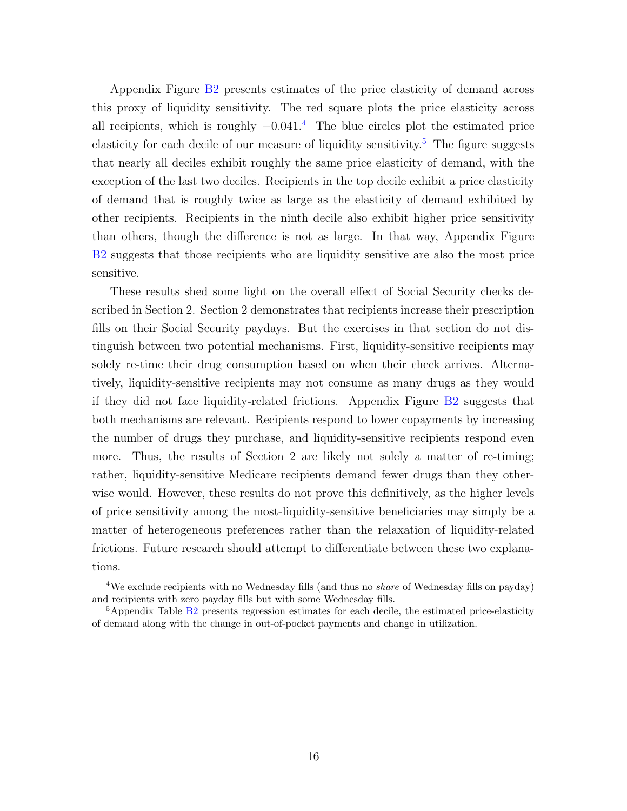Appendix Figure [B2](#page-17-0) presents estimates of the price elasticity of demand across this proxy of liquidity sensitivity. The red square plots the price elasticity across all recipients, which is roughly  $-0.041<sup>4</sup>$  $-0.041<sup>4</sup>$  $-0.041<sup>4</sup>$ . The blue circles plot the estimated price elasticity for each decile of our measure of liquidity sensitivity.<sup>[5](#page-0-0)</sup> The figure suggests that nearly all deciles exhibit roughly the same price elasticity of demand, with the exception of the last two deciles. Recipients in the top decile exhibit a price elasticity of demand that is roughly twice as large as the elasticity of demand exhibited by other recipients. Recipients in the ninth decile also exhibit higher price sensitivity than others, though the difference is not as large. In that way, Appendix Figure [B2](#page-17-0) suggests that those recipients who are liquidity sensitive are also the most price sensitive.

These results shed some light on the overall effect of Social Security checks described in Section 2. Section 2 demonstrates that recipients increase their prescription fills on their Social Security paydays. But the exercises in that section do not distinguish between two potential mechanisms. First, liquidity-sensitive recipients may solely re-time their drug consumption based on when their check arrives. Alternatively, liquidity-sensitive recipients may not consume as many drugs as they would if they did not face liquidity-related frictions. Appendix Figure [B2](#page-17-0) suggests that both mechanisms are relevant. Recipients respond to lower copayments by increasing the number of drugs they purchase, and liquidity-sensitive recipients respond even more. Thus, the results of Section 2 are likely not solely a matter of re-timing; rather, liquidity-sensitive Medicare recipients demand fewer drugs than they otherwise would. However, these results do not prove this definitively, as the higher levels of price sensitivity among the most-liquidity-sensitive beneficiaries may simply be a matter of heterogeneous preferences rather than the relaxation of liquidity-related frictions. Future research should attempt to differentiate between these two explanations.

<sup>&</sup>lt;sup>4</sup>We exclude recipients with no Wednesday fills (and thus no *share* of Wednesday fills on payday) and recipients with zero payday fills but with some Wednesday fills.

 $5A$ ppendix Table B<sub>2</sub> presents regression estimates for each decile, the estimated price-elasticity of demand along with the change in out-of-pocket payments and change in utilization.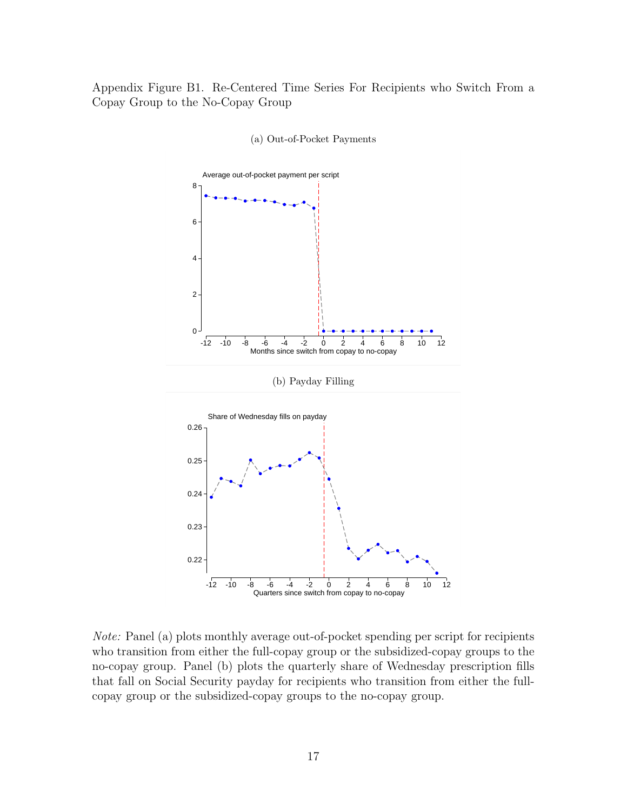<span id="page-16-0"></span>Appendix Figure B1. Re-Centered Time Series For Recipients who Switch From a Copay Group to the No-Copay Group





Note: Panel (a) plots monthly average out-of-pocket spending per script for recipients who transition from either the full-copay group or the subsidized-copay groups to the no-copay group. Panel (b) plots the quarterly share of Wednesday prescription fills that fall on Social Security payday for recipients who transition from either the fullcopay group or the subsidized-copay groups to the no-copay group.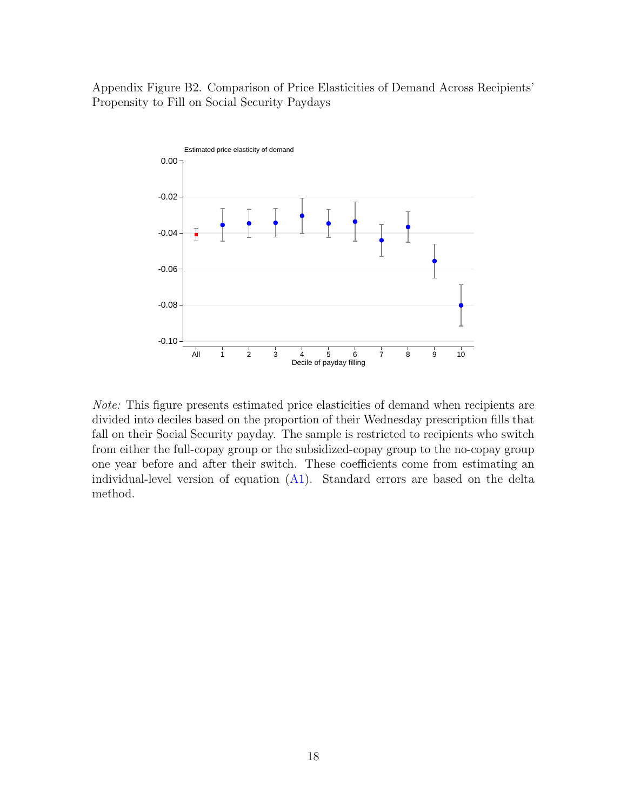<span id="page-17-0"></span>Appendix Figure B2. Comparison of Price Elasticities of Demand Across Recipients' Propensity to Fill on Social Security Paydays



Note: This figure presents estimated price elasticities of demand when recipients are divided into deciles based on the proportion of their Wednesday prescription fills that fall on their Social Security payday. The sample is restricted to recipients who switch from either the full-copay group or the subsidized-copay group to the no-copay group one year before and after their switch. These coefficients come from estimating an individual-level version of equation  $(A1)$ . Standard errors are based on the delta method.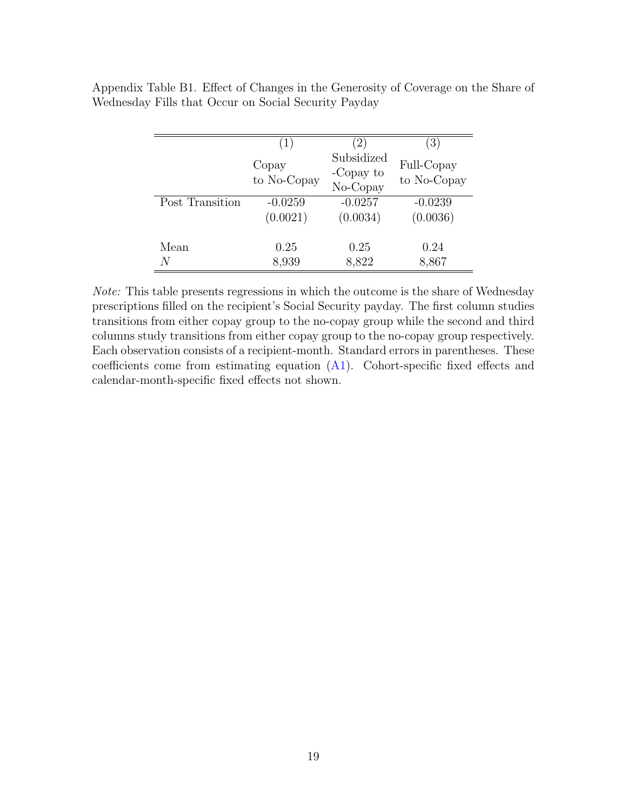|                 | $\left(1\right)$     | $\left(2\right)$                    | $\left(3\right)$          |
|-----------------|----------------------|-------------------------------------|---------------------------|
|                 | Copay<br>to No-Copay | Subsidized<br>-Copay to<br>No-Copay | Full-Copay<br>to No-Copay |
| Post Transition | $-0.0259$            | $-0.0257$                           | $-0.0239$                 |
|                 | (0.0021)             | (0.0034)                            | (0.0036)                  |
| Mean            | 0.25                 | 0.25                                | 0.24                      |
| N               | 8,939                | 8,822                               | 8,867                     |

<span id="page-18-0"></span>Appendix Table B1. Effect of Changes in the Generosity of Coverage on the Share of Wednesday Fills that Occur on Social Security Payday

Note: This table presents regressions in which the outcome is the share of Wednesday prescriptions filled on the recipient's Social Security payday. The first column studies transitions from either copay group to the no-copay group while the second and third columns study transitions from either copay group to the no-copay group respectively. Each observation consists of a recipient-month. Standard errors in parentheses. These coefficients come from estimating equation  $(A1)$ . Cohort-specific fixed effects and calendar-month-specific fixed effects not shown.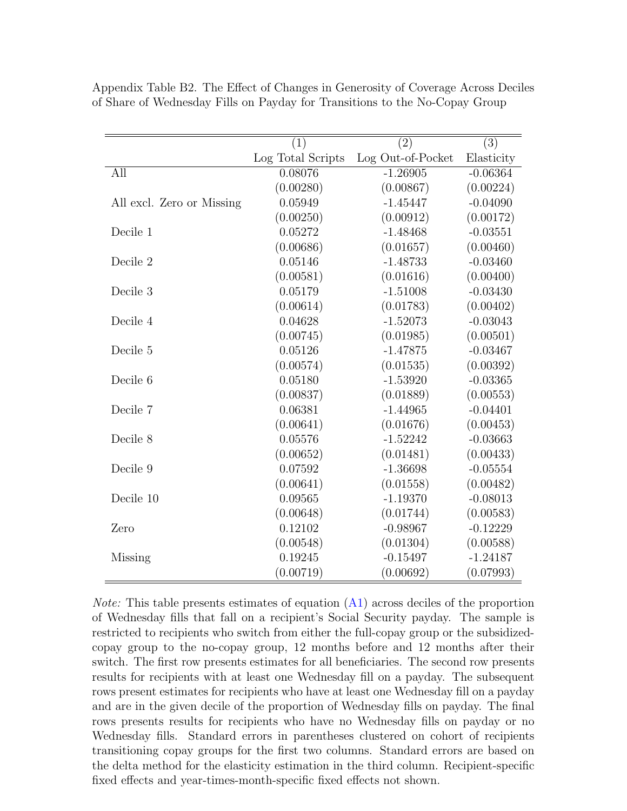|                           | $\overline{(1)}$  | $\overline{(2)}$  | $\overline{(3)}$ |
|---------------------------|-------------------|-------------------|------------------|
|                           | Log Total Scripts | Log Out-of-Pocket | Elasticity       |
| All                       | 0.08076           | $-1.26905$        | $-0.06364$       |
|                           | (0.00280)         | (0.00867)         | (0.00224)        |
| All excl. Zero or Missing | 0.05949           | $-1.45447$        | $-0.04090$       |
|                           | (0.00250)         | (0.00912)         | (0.00172)        |
| Decile 1                  | 0.05272           | $-1.48468$        | $-0.03551$       |
|                           | (0.00686)         | (0.01657)         | (0.00460)        |
| Decile 2                  | 0.05146           | $-1.48733$        | $-0.03460$       |
|                           | (0.00581)         | (0.01616)         | (0.00400)        |
| Decile 3                  | 0.05179           | $-1.51008$        | $-0.03430$       |
|                           | (0.00614)         | (0.01783)         | (0.00402)        |
| Decile 4                  | 0.04628           | $-1.52073$        | $-0.03043$       |
|                           | (0.00745)         | (0.01985)         | (0.00501)        |
| Decile 5                  | 0.05126           | $-1.47875$        | $-0.03467$       |
|                           | (0.00574)         | (0.01535)         | (0.00392)        |
| Decile 6                  | 0.05180           | $-1.53920$        | $-0.03365$       |
|                           | (0.00837)         | (0.01889)         | (0.00553)        |
| Decile 7                  | 0.06381           | $-1.44965$        | $-0.04401$       |
|                           | (0.00641)         | (0.01676)         | (0.00453)        |
| Decile 8                  | 0.05576           | $-1.52242$        | $-0.03663$       |
|                           | (0.00652)         | (0.01481)         | (0.00433)        |
| Decile 9                  | 0.07592           | $-1.36698$        | $-0.05554$       |
|                           | (0.00641)         | (0.01558)         | (0.00482)        |
| Decile 10                 | 0.09565           | $-1.19370$        | $-0.08013$       |
|                           | (0.00648)         | (0.01744)         | (0.00583)        |
| Zero                      | 0.12102           | $-0.98967$        | $-0.12229$       |
|                           | (0.00548)         | (0.01304)         | (0.00588)        |
| Missing                   | 0.19245           | $-0.15497$        | $-1.24187$       |
|                           | (0.00719)         | (0.00692)         | (0.07993)        |

<span id="page-19-0"></span>Appendix Table B2. The Effect of Changes in Generosity of Coverage Across Deciles of Share of Wednesday Fills on Payday for Transitions to the No-Copay Group

Note: This table presents estimates of equation [\(A1\)](#page-14-0) across deciles of the proportion of Wednesday fills that fall on a recipient's Social Security payday. The sample is restricted to recipients who switch from either the full-copay group or the subsidizedcopay group to the no-copay group, 12 months before and 12 months after their switch. The first row presents estimates for all beneficiaries. The second row presents results for recipients with at least one Wednesday fill on a payday. The subsequent rows present estimates for recipients who have at least one Wednesday fill on a payday and are in the given decile of the proportion of Wednesday fills on payday. The final rows presents results for recipients who have no Wednesday fills on payday or no Wednesday fills. Standard errors in parentheses clustered on cohort of recipients transitioning copay groups for the first two columns. Standard errors are based on the delta method for the elasticity estimation in the third column. Recipient-specific fixed effects and year-times-month-specific fixed effects not shown.